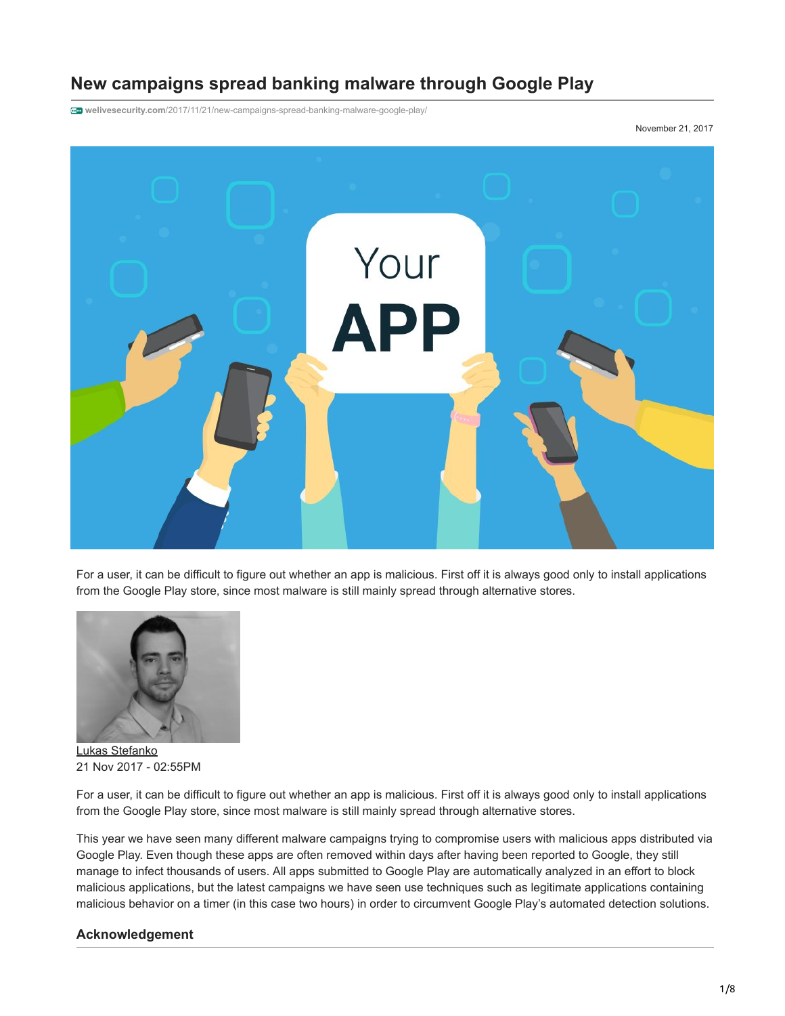# **New campaigns spread banking malware through Google Play**

**welivesecurity.com**[/2017/11/21/new-campaigns-spread-banking-malware-google-play/](https://www.welivesecurity.com/2017/11/21/new-campaigns-spread-banking-malware-google-play/)

November 21, 2017



For a user, it can be difficult to figure out whether an app is malicious. First off it is always good only to install applications from the Google Play store, since most malware is still mainly spread through alternative stores.



[Lukas Stefanko](https://www.welivesecurity.com/author/lstefanko/) 21 Nov 2017 - 02:55PM

For a user, it can be difficult to figure out whether an app is malicious. First off it is always good only to install applications from the Google Play store, since most malware is still mainly spread through alternative stores.

This year we have seen many different malware campaigns trying to compromise users with malicious apps distributed via Google Play. Even though these apps are often removed within days after having been reported to Google, they still manage to infect thousands of users. All apps submitted to Google Play are automatically analyzed in an effort to block malicious applications, but the latest campaigns we have seen use techniques such as legitimate applications containing malicious behavior on a timer (in this case two hours) in order to circumvent Google Play's automated detection solutions.

#### **Acknowledgement**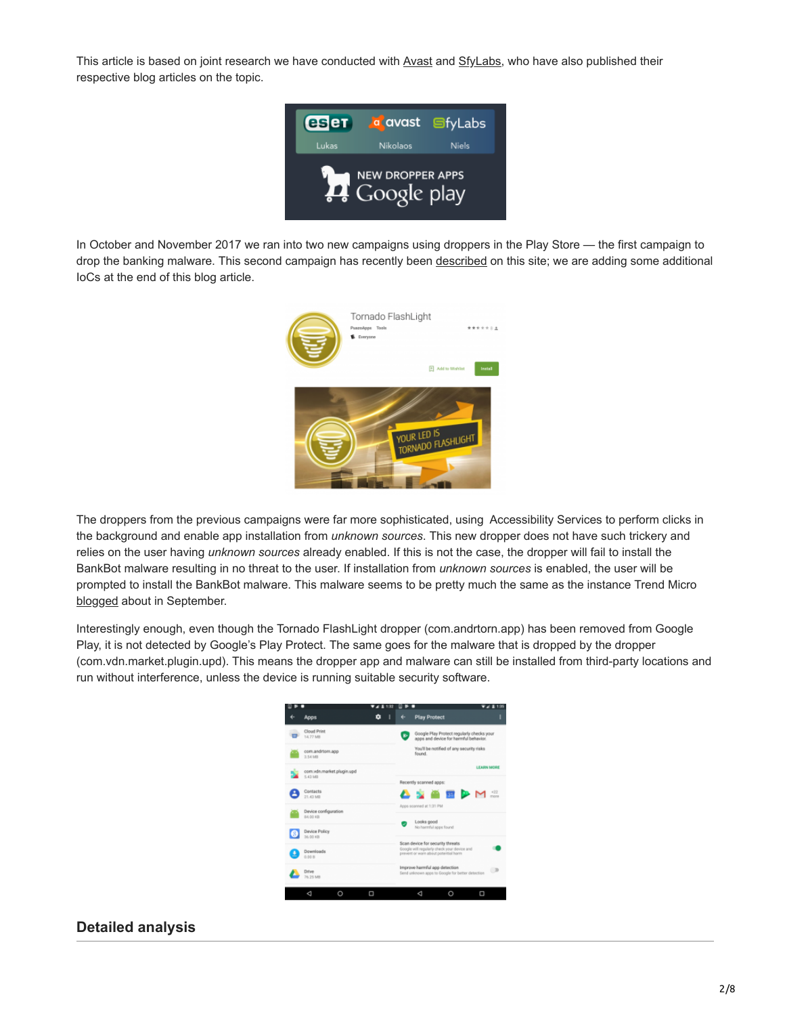This article is based on joint research we have conducted with [Avast](https://blog.avast.com/mobile-banking-trojan-sneaks-into-google-play-targeting-wells-fargo-chase-and-citibank-customers) and [SfyLabs](https://clientsidedetection.com/new_campaigns_spread_banking_malware_through_google_play.html), who have also published their respective blog articles on the topic.



In October and November 2017 we ran into two new campaigns using droppers in the Play Store — the first campaign to drop the banking malware. This second campaign has recently been [described](https://www.welivesecurity.com/2017/11/15/multi-stage-malware-sneaks-google-play) on this site; we are adding some additional IoCs at the end of this blog article.



The droppers from the previous campaigns were far more sophisticated, using Accessibility Services to perform clicks in the background and enable app installation from *unknown sources*. This new dropper does not have such trickery and relies on the user having *unknown sources* already enabled. If this is not the case, the dropper will fail to install the BankBot malware resulting in no threat to the user. If installation from *unknown sources* is enabled, the user will be prompted to install the BankBot malware. This malware seems to be pretty much the same as the instance Trend Micro [blogged](http://blog.trendmicro.com/trendlabs-security-intelligence/bankbot-found-google-play-targets-ten-new-uae-banking-apps/) about in September.

Interestingly enough, even though the Tornado FlashLight dropper (com.andrtorn.app) has been removed from Google Play, it is not detected by Google's Play Protect. The same goes for the malware that is dropped by the dropper (com.vdn.market.plugin.upd). This means the dropper app and malware can still be installed from third-party locations and run without interference, unless the device is running suitable security software.



# **Detailed analysis**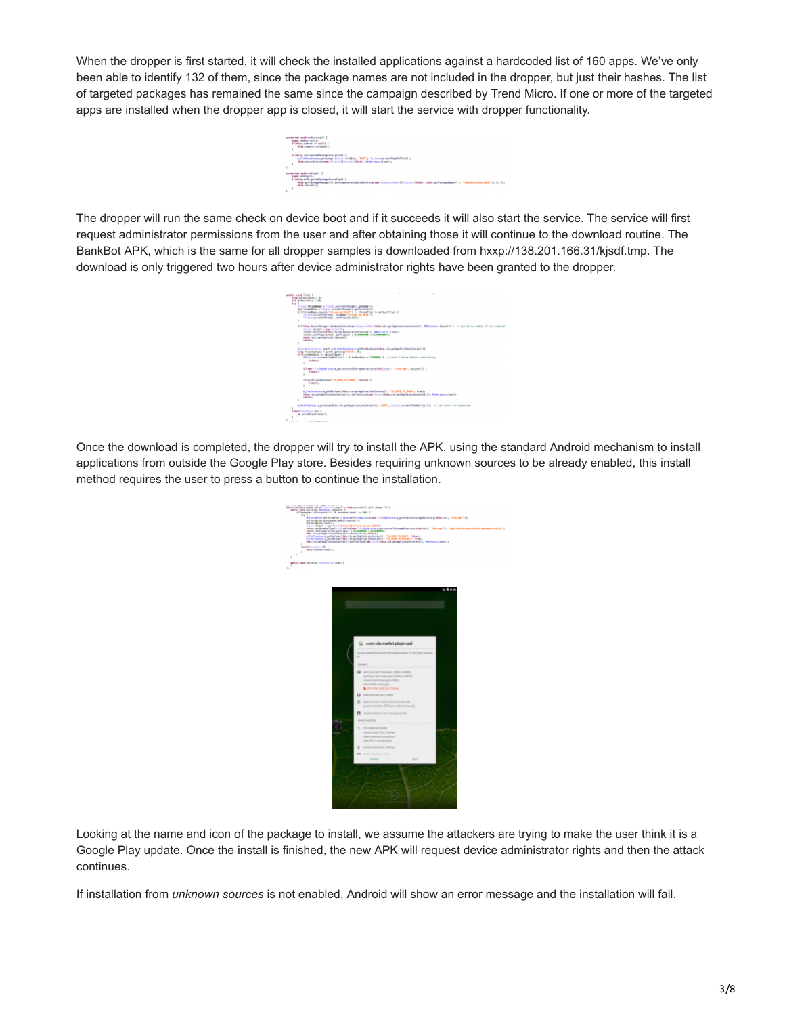When the dropper is first started, it will check the installed applications against a hardcoded list of 160 apps. We've only been able to identify 132 of them, since the package names are not included in the dropper, but just their hashes. The list of targeted packages has remained the same since the campaign described by Trend Micro. If one or more of the targeted apps are installed when the dropper app is closed, it will start the service with dropper functionality.

| ö                 |
|-------------------|
| ٠<br>Ï            |
| ٠<br>٠<br>41<br>۶ |

The dropper will run the same check on device boot and if it succeeds it will also start the service. The service will first request administrator permissions from the user and after obtaining those it will continue to the download routine. The BankBot APK, which is the same for all dropper samples is downloaded from hxxp://138.201.166.31/kjsdf.tmp. The download is only triggered two hours after device administrator rights have been granted to the dropper.

|    |                      | poblic weld runt! 4<br><b>SAME INCREAS FREED IN MIT</b><br>ine actualrivia = se-                                                                                                                                                                                                                                                                                                  |  |
|----|----------------------|-----------------------------------------------------------------------------------------------------------------------------------------------------------------------------------------------------------------------------------------------------------------------------------------------------------------------------------------------------------------------------------|--|
|    | <b>STV</b>           | Corting Abrandians a Threat Journal Donald's antique (1)<br>art threadfite = Thread, parent/Thread I. prifyter Livil.<br>IN INVESTIGATION AND IT THANK AN INTERFERING TO AN INFORMATION<br>Thresh during thread I jud Note! "Broad, at \$127" L.<br>Thread Journal Person Lumin (art ty Ltd.)                                                                                     |  |
|    |                      | nentianeOddis.cir.pridgetizationContestII, ADMoniser.ciassIII C () get denise admin if not enabled<br><b>JFC HALK, deviceManager, LtAdministratedner Conne</b><br>forsal Minet + see broomly<br>UREAR, NOTCHAMATERIA.com .gatApplicationContext11, MONTIFICATIONS<br>197957-1077 14011 155057-0077 14011   RUWWOODDS   RUWWOODDS  <br>this, rts, yarmintivity i promis<br>returns |  |
|    |                      | Encyclopedia results = 0_Preferences.a_prtPreference/CM&s.ctv.prtrep1.cstiprtertextili<br>long fürstflutbate in profs.gett.mg/"MAP", #10<br>4410 productions to define them.<br>Official incredibed (1981) in Conductor + Theoretic C (1 unit 2 hours include continuation<br>reduces:<br>s                                                                                       |  |
|    |                      | SPENNA film@buSarvine.a_gotEsterna@inorwanbineters/hbdg.ctv1 = "fuba_am"1.oxistsill {<br>return:                                                                                                                                                                                                                                                                                  |  |
|    |                      | UTLEVATE.com/Montage/1731.9833.70.00MV., Fatae11.1<br>return:<br>b                                                                                                                                                                                                                                                                                                                |  |
|    |                      | b Preferences, a politicized Mila, Ha artificilization(integri) , "31 MID 10 BM", truck-<br>this, ris artifulization(mill.ris-the-the-carbon liter) [kia.ch.artifulization(minit), Relevies.class(c)<br>related                                                                                                                                                                   |  |
|    |                      | h Preferences a putingalitis rio priApplicationEntered). "MATP, forces currentTimeNilisitis // set first run tinestams                                                                                                                                                                                                                                                            |  |
|    |                      | setch Connection will C<br>villa matthew from the                                                                                                                                                                                                                                                                                                                                 |  |
| þ. | <b>STATE COMPANY</b> | the control of the state of the state of the con-                                                                                                                                                                                                                                                                                                                                 |  |

Once the download is completed, the dropper will try to install the APK, using the standard Android mechanism to install applications from outside the Google Play store. Besides requiring unknown sources to be already enabled, this install method requires the user to press a button to continue the installation.

| this couplines alone of all conveniences in this convenient all limits are the parts of the origin to convenience of the property and in 2001 of $\sim$ 1001 of the convenience of the convenience of the convenience of the co<br>W Selection inflection - Social/Indian colors (150)/inviews printend imaginatory (60-20), "60-4650)<br>buffer adjust of response boby! Linerical Eli<br>and for exclusive classes ( )<br>models print was ( ) control and rate at the c<br>action (2014)<br>2014 - China Company, american de la Carlo Maria (2014)<br>2015 - China Company, action (2015)<br>2015 - China Company, actor (2015)<br>2015 - China Company, actor (2015)<br>2015 - China Company, actor (2015)<br>2015 - Chin<br>٠<br><b>ENGINEERING CONTROL</b><br>(Burningstreet) (<br>þ.<br>×.<br>þ.<br>politic mode ads argil, illinogram argil (<br>141 |  |
|---------------------------------------------------------------------------------------------------------------------------------------------------------------------------------------------------------------------------------------------------------------------------------------------------------------------------------------------------------------------------------------------------------------------------------------------------------------------------------------------------------------------------------------------------------------------------------------------------------------------------------------------------------------------------------------------------------------------------------------------------------------------------------------------------------------------------------------------------------------|--|
| 20.000                                                                                                                                                                                                                                                                                                                                                                                                                                                                                                                                                                                                                                                                                                                                                                                                                                                        |  |
|                                                                                                                                                                                                                                                                                                                                                                                                                                                                                                                                                                                                                                                                                                                                                                                                                                                               |  |
|                                                                                                                                                                                                                                                                                                                                                                                                                                                                                                                                                                                                                                                                                                                                                                                                                                                               |  |
|                                                                                                                                                                                                                                                                                                                                                                                                                                                                                                                                                                                                                                                                                                                                                                                                                                                               |  |
|                                                                                                                                                                                                                                                                                                                                                                                                                                                                                                                                                                                                                                                                                                                                                                                                                                                               |  |
|                                                                                                                                                                                                                                                                                                                                                                                                                                                                                                                                                                                                                                                                                                                                                                                                                                                               |  |
|                                                                                                                                                                                                                                                                                                                                                                                                                                                                                                                                                                                                                                                                                                                                                                                                                                                               |  |
| com vdn.market.plugin.upd                                                                                                                                                                                                                                                                                                                                                                                                                                                                                                                                                                                                                                                                                                                                                                                                                                     |  |
|                                                                                                                                                                                                                                                                                                                                                                                                                                                                                                                                                                                                                                                                                                                                                                                                                                                               |  |
| Do you want to install this application? It will get access<br>bit.                                                                                                                                                                                                                                                                                                                                                                                                                                                                                                                                                                                                                                                                                                                                                                                           |  |
| <b>PERMIT</b>                                                                                                                                                                                                                                                                                                                                                                                                                                                                                                                                                                                                                                                                                                                                                                                                                                                 |  |
| DMS or UAS operation that you also                                                                                                                                                                                                                                                                                                                                                                                                                                                                                                                                                                                                                                                                                                                                                                                                                            |  |
| read your lest messages (IMS or MMS)                                                                                                                                                                                                                                                                                                                                                                                                                                                                                                                                                                                                                                                                                                                                                                                                                          |  |
| receive tort messages (SMS)<br>send DMS messages                                                                                                                                                                                                                                                                                                                                                                                                                                                                                                                                                                                                                                                                                                                                                                                                              |  |
| This may cost you money                                                                                                                                                                                                                                                                                                                                                                                                                                                                                                                                                                                                                                                                                                                                                                                                                                       |  |
| <b>Q</b> take pictures and videos                                                                                                                                                                                                                                                                                                                                                                                                                                                                                                                                                                                                                                                                                                                                                                                                                             |  |
| <b>G</b> approximate location (network-boxed)<br>precise location (GPS and network based).                                                                                                                                                                                                                                                                                                                                                                                                                                                                                                                                                                                                                                                                                                                                                                    |  |
| R owns accounts and set passworts                                                                                                                                                                                                                                                                                                                                                                                                                                                                                                                                                                                                                                                                                                                                                                                                                             |  |
| DEVER ADDERE                                                                                                                                                                                                                                                                                                                                                                                                                                                                                                                                                                                                                                                                                                                                                                                                                                                  |  |
| ٦.<br>Full naturals access                                                                                                                                                                                                                                                                                                                                                                                                                                                                                                                                                                                                                                                                                                                                                                                                                                    |  |
| receive data from Internet                                                                                                                                                                                                                                                                                                                                                                                                                                                                                                                                                                                                                                                                                                                                                                                                                                    |  |
| view network connections.<br>sizes Will Fi executives                                                                                                                                                                                                                                                                                                                                                                                                                                                                                                                                                                                                                                                                                                                                                                                                         |  |
| ž<br>access Bluebooth authors.                                                                                                                                                                                                                                                                                                                                                                                                                                                                                                                                                                                                                                                                                                                                                                                                                                |  |
| <b>AN</b><br><b>HERE ERE IN</b>                                                                                                                                                                                                                                                                                                                                                                                                                                                                                                                                                                                                                                                                                                                                                                                                                               |  |
| CANCIL.<br>NOTES!                                                                                                                                                                                                                                                                                                                                                                                                                                                                                                                                                                                                                                                                                                                                                                                                                                             |  |
|                                                                                                                                                                                                                                                                                                                                                                                                                                                                                                                                                                                                                                                                                                                                                                                                                                                               |  |
|                                                                                                                                                                                                                                                                                                                                                                                                                                                                                                                                                                                                                                                                                                                                                                                                                                                               |  |
|                                                                                                                                                                                                                                                                                                                                                                                                                                                                                                                                                                                                                                                                                                                                                                                                                                                               |  |
|                                                                                                                                                                                                                                                                                                                                                                                                                                                                                                                                                                                                                                                                                                                                                                                                                                                               |  |
|                                                                                                                                                                                                                                                                                                                                                                                                                                                                                                                                                                                                                                                                                                                                                                                                                                                               |  |
|                                                                                                                                                                                                                                                                                                                                                                                                                                                                                                                                                                                                                                                                                                                                                                                                                                                               |  |

Looking at the name and icon of the package to install, we assume the attackers are trying to make the user think it is a Google Play update. Once the install is finished, the new APK will request device administrator rights and then the attack continues.

If installation from *unknown sources* is not enabled, Android will show an error message and the installation will fail.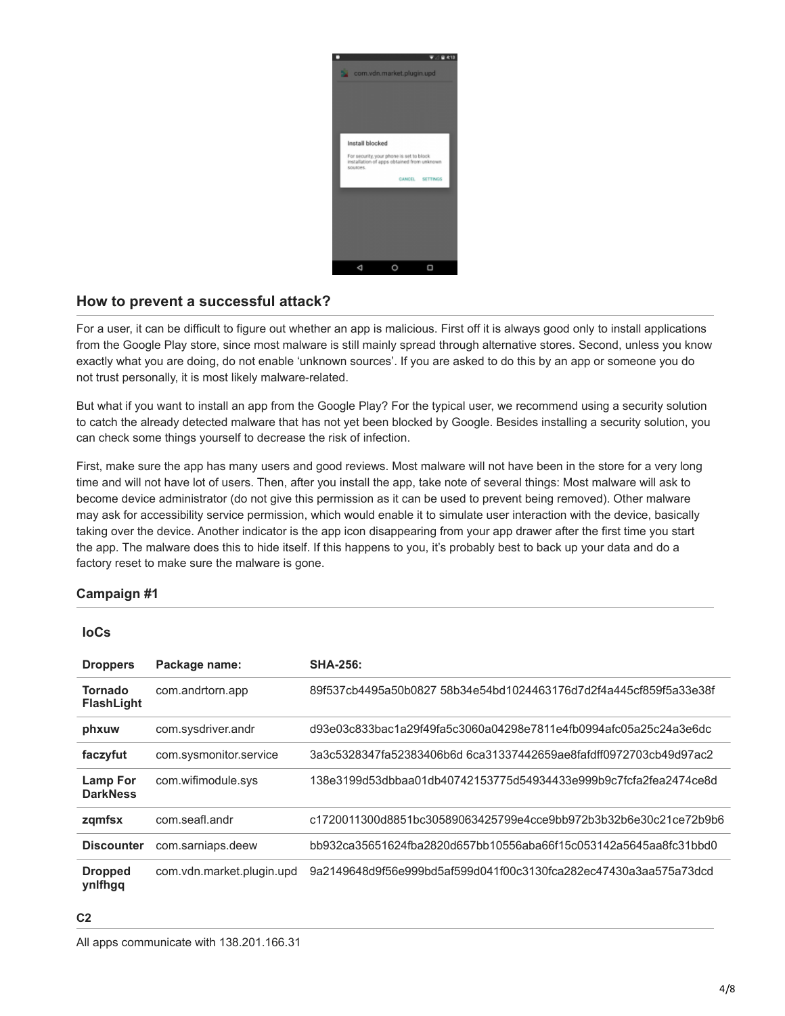

# **How to prevent a successful attack?**

For a user, it can be difficult to figure out whether an app is malicious. First off it is always good only to install applications from the Google Play store, since most malware is still mainly spread through alternative stores. Second, unless you know exactly what you are doing, do not enable 'unknown sources'. If you are asked to do this by an app or someone you do not trust personally, it is most likely malware-related.

But what if you want to install an app from the Google Play? For the typical user, we recommend using a security solution to catch the already detected malware that has not yet been blocked by Google. Besides installing a security solution, you can check some things yourself to decrease the risk of infection.

First, make sure the app has many users and good reviews. Most malware will not have been in the store for a very long time and will not have lot of users. Then, after you install the app, take note of several things: Most malware will ask to become device administrator (do not give this permission as it can be used to prevent being removed). Other malware may ask for accessibility service permission, which would enable it to simulate user interaction with the device, basically taking over the device. Another indicator is the app icon disappearing from your app drawer after the first time you start the app. The malware does this to hide itself. If this happens to you, it's probably best to back up your data and do a factory reset to make sure the malware is gone.

# **Campaign #1**

#### **IoCs**

| <b>Droppers</b>                    | Package name:             | <b>SHA-256:</b>                                                   |
|------------------------------------|---------------------------|-------------------------------------------------------------------|
| Tornado<br><b>FlashLight</b>       | com.andrtorn.app          | 89f537cb4495a50b0827_58b34e54bd1024463176d7d2f4a445cf859f5a33e38f |
| phxuw                              | com.sysdriver.andr        | d93e03c833bac1a29f49fa5c3060a04298e7811e4fb0994afc05a25c24a3e6dc  |
| faczyfut                           | com.sysmonitor.service    | 3a3c5328347fa52383406b6d 6ca31337442659ae8fafdff0972703cb49d97ac2 |
| <b>Lamp For</b><br><b>DarkNess</b> | com.wifimodule.sys        | 138e3199d53dbbaa01db40742153775d54934433e999b9c7fcfa2fea2474ce8d  |
| zqmfsx                             | com.seafl.andr            | c1720011300d8851bc30589063425799e4cce9bb972b3b32b6e30c21ce72b9b6  |
| <b>Discounter</b>                  | com.sarniaps.deew         | bb932ca35651624fba2820d657bb10556aba66f15c053142a5645aa8fc31bbd0  |
| <b>Dropped</b><br>ynlfhgq          | com.vdn.market.plugin.upd | 9a2149648d9f56e999bd5af599d041f00c3130fca282ec47430a3aa575a73dcd  |

**C2**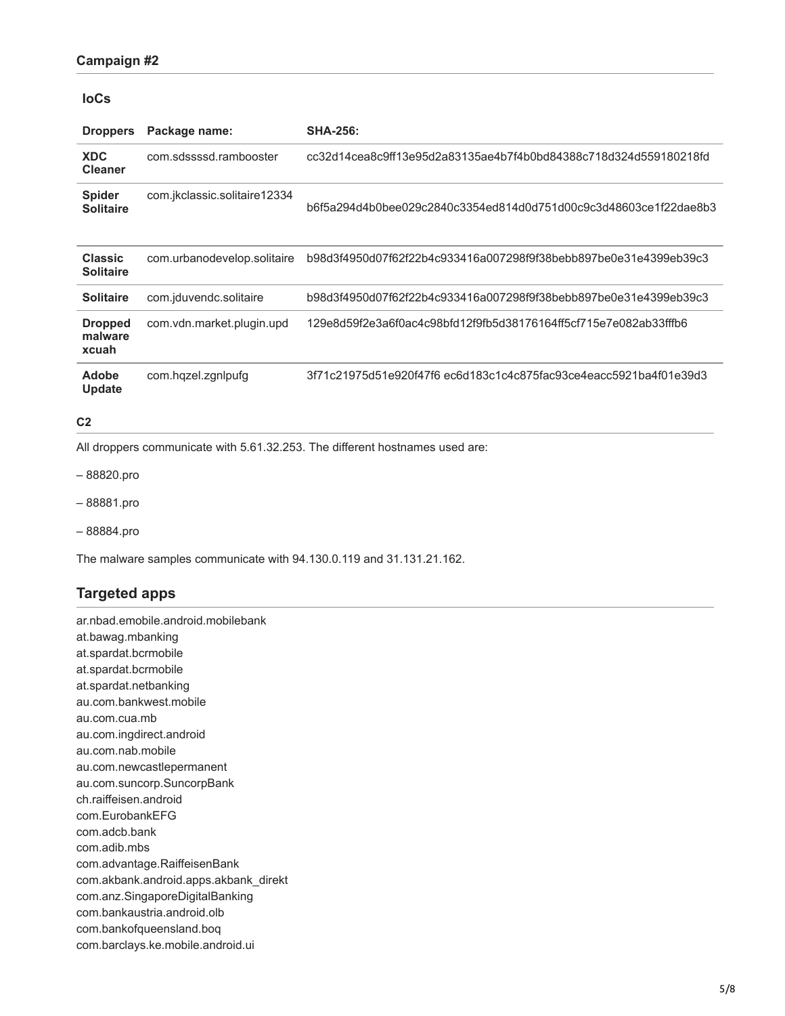### **Campaign #2**

## **IoCs**

| <b>Droppers</b>                    | Package name:                | <b>SHA-256:</b>                                                   |
|------------------------------------|------------------------------|-------------------------------------------------------------------|
| <b>XDC</b><br><b>Cleaner</b>       | com.sdssssd.rambooster       | cc32d14cea8c9ff13e95d2a83135ae4b7f4b0bd84388c718d324d559180218fd  |
| <b>Spider</b><br><b>Solitaire</b>  | com.jkclassic.solitaire12334 | b6f5a294d4b0bee029c2840c3354ed814d0d751d00c9c3d48603ce1f22dae8b3  |
| <b>Classic</b><br><b>Solitaire</b> | com.urbanodevelop.solitaire  | b98d3f4950d07f62f22b4c933416a007298f9f38bebb897be0e31e4399eb39c3  |
| <b>Solitaire</b>                   | com.jduvendc.solitaire       | b98d3f4950d07f62f22b4c933416a007298f9f38bebb897be0e31e4399eb39c3  |
| <b>Dropped</b><br>malware<br>xcuah | com.vdn.market.plugin.upd    | 129e8d59f2e3a6f0ac4c98bfd12f9fb5d38176164ff5cf715e7e082ab33fffb6  |
| Adobe<br>Update                    | com.hqzel.zgnlpufg           | 3f71c21975d51e920f47f6 ec6d183c1c4c875fac93ce4eacc5921ba4f01e39d3 |

#### **C2**

All droppers communicate with 5.61.32.253. The different hostnames used are:

– 88820.pro

– 88881.pro

– 88884.pro

The malware samples communicate with 94.130.0.119 and 31.131.21.162.

# **Targeted apps**

ar.nbad.emobile.android.mobilebank at.bawag.mbanking at.spardat.bcrmobile at.spardat.bcrmobile at.spardat.netbanking au.com.bankwest.mobile au.com.cua.mb au.com.ingdirect.android au.com.nab.mobile au.com.newcastlepermanent au.com.suncorp.SuncorpBank ch.raiffeisen.android com.EurobankEFG com.adcb.bank com.adib.mbs com.advantage.RaiffeisenBank com.akbank.android.apps.akbank\_direkt com.anz.SingaporeDigitalBanking com.bankaustria.android.olb com.bankofqueensland.boq com.barclays.ke.mobile.android.ui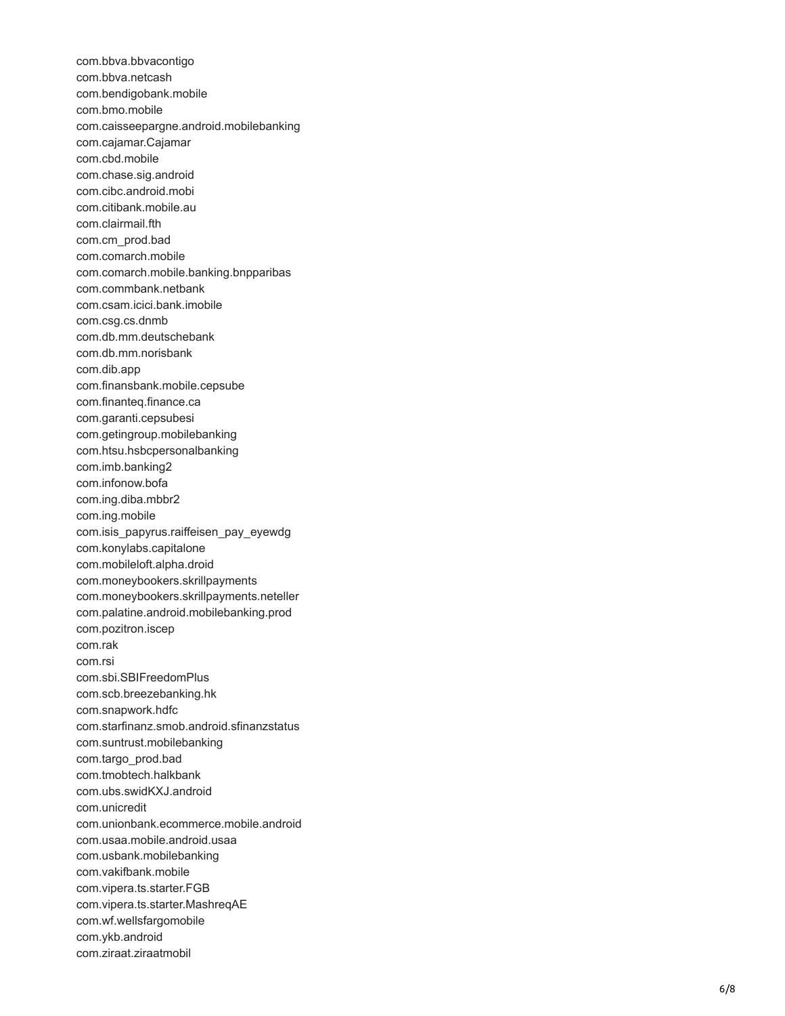com.bbva.bbvacontigo com.bbva.netcash com.bendigobank.mobile com.bmo.mobile com.caisseepargne.android.mobilebanking com.cajamar.Cajamar com.cbd.mobile com.chase.sig.android com.cibc.android.mobi com.citibank.mobile.au com.clairmail.fth com.cm\_prod.bad com.comarch.mobile com.comarch.mobile.banking.bnpparibas com.commbank.netbank com.csam.icici.bank.imobile com.csg.cs.dnmb com.db.mm.deutschebank com.db.mm.norisbank com.dib.app com.finansbank.mobile.cepsube com.finanteq.finance.ca com.garanti.cepsubesi com.getingroup.mobilebanking com.htsu.hsbcpersonalbanking com.imb.banking2 com.infonow.bofa com.ing.diba.mbbr2 com.ing.mobile com.isis\_papyrus.raiffeisen\_pay\_eyewdg com.konylabs.capitalone com.mobileloft.alpha.droid com.moneybookers.skrillpayments com.moneybookers.skrillpayments.neteller com.palatine.android.mobilebanking.prod com.pozitron.iscep com.rak com.rsi com.sbi.SBIFreedomPlus com.scb.breezebanking.hk com.snapwork.hdfc com.starfinanz.smob.android.sfinanzstatus com.suntrust.mobilebanking com.targo\_prod.bad com.tmobtech.halkbank com.ubs.swidKXJ.android com.unicredit com.unionbank.ecommerce.mobile.android com.usaa.mobile.android.usaa com.usbank.mobilebanking com.vakifbank.mobile com.vipera.ts.starter.FGB com.vipera.ts.starter.MashreqAE com.wf.wellsfargomobile com.ykb.android com.ziraat.ziraatmobil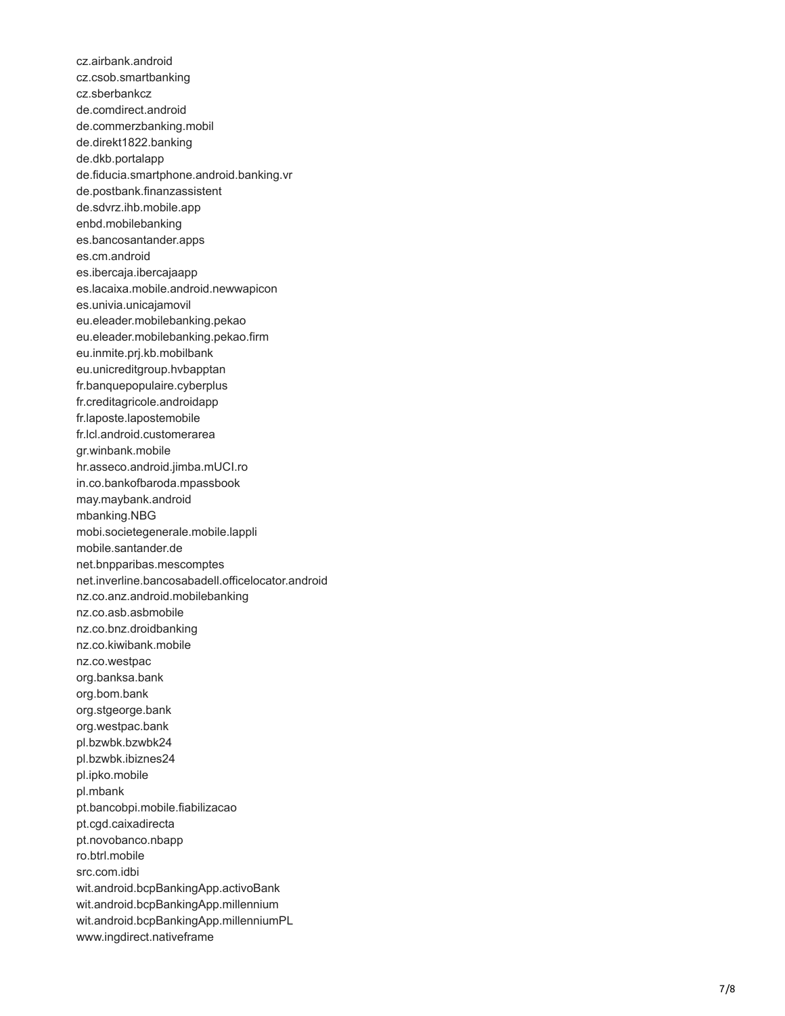cz.airbank.android cz.csob.smartbanking cz.sberbankcz de.comdirect.android de.commerzbanking.mobil de.direkt1822.banking de.dkb.portalapp de.fiducia.smartphone.android.banking.vr de.postbank.finanzassistent de.sdvrz.ihb.mobile.app enbd.mobilebanking es.bancosantander.apps es.cm.android es.ibercaja.ibercajaapp es.lacaixa.mobile.android.newwapicon es.univia.unicajamovil eu.eleader.mobilebanking.pekao eu.eleader.mobilebanking.pekao.firm eu.inmite.prj.kb.mobilbank eu.unicreditgroup.hvbapptan fr.banquepopulaire.cyberplus fr.creditagricole.androidapp fr.laposte.lapostemobile fr.lcl.android.customerarea gr.winbank.mobile hr.asseco.android.jimba.mUCI.ro in.co.bankofbaroda.mpassbook may.maybank.android mbanking.NBG mobi.societegenerale.mobile.lappli mobile.santander.de net.bnpparibas.mescomptes net.inverline.bancosabadell.officelocator.android nz.co.anz.android.mobilebanking nz.co.asb.asbmobile nz.co.bnz.droidbanking nz.co.kiwibank.mobile nz.co.westpac org.banksa.bank org.bom.bank org.stgeorge.bank org.westpac.bank pl.bzwbk.bzwbk24 pl.bzwbk.ibiznes24 pl.ipko.mobile pl.mbank pt.bancobpi.mobile.fiabilizacao pt.cgd.caixadirecta pt.novobanco.nbapp ro.btrl.mobile src.com.idbi wit.android.bcpBankingApp.activoBank wit.android.bcpBankingApp.millennium wit.android.bcpBankingApp.millenniumPL www.ingdirect.nativeframe